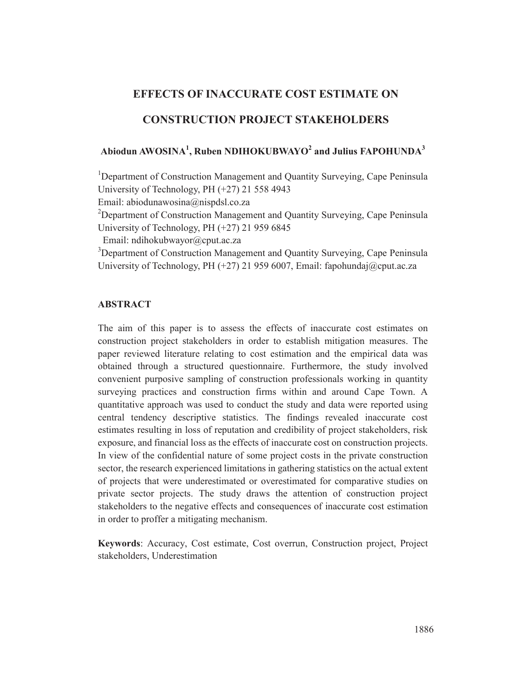# **EFFECTS OF INACCURATE COST ESTIMATE ON**

# **CONSTRUCTION PROJECT STAKEHOLDERS**

# **Abiodun AWOSINA<sup>1</sup> , Ruben NDIHOKUBWAYO<sup>2</sup> and Julius FAPOHUNDA3**

<sup>1</sup>Department of Construction Management and Quantity Surveying, Cape Peninsula University of Technology, PH (+27) 21 558 4943

Email: abiodunawosina@nispdsl.co.za

<sup>2</sup>Department of Construction Management and Quantity Surveying, Cape Peninsula University of Technology, PH (+27) 21 959 6845

Email: ndihokubwayor@cput.ac.za

<sup>3</sup>Department of Construction Management and Quantity Surveying, Cape Peninsula University of Technology, PH (+27) 21 959 6007, Email: fapohundaj@cput.ac.za

## **ABSTRACT**

The aim of this paper is to assess the effects of inaccurate cost estimates on construction project stakeholders in order to establish mitigation measures. The paper reviewed literature relating to cost estimation and the empirical data was obtained through a structured questionnaire. Furthermore, the study involved convenient purposive sampling of construction professionals working in quantity surveying practices and construction firms within and around Cape Town. A quantitative approach was used to conduct the study and data were reported using central tendency descriptive statistics. The findings revealed inaccurate cost estimates resulting in loss of reputation and credibility of project stakeholders, risk exposure, and financial loss as the effects of inaccurate cost on construction projects. In view of the confidential nature of some project costs in the private construction sector, the research experienced limitations in gathering statistics on the actual extent of projects that were underestimated or overestimated for comparative studies on private sector projects. The study draws the attention of construction project stakeholders to the negative effects and consequences of inaccurate cost estimation in order to proffer a mitigating mechanism.

**Keywords**: Accuracy, Cost estimate, Cost overrun, Construction project, Project stakeholders, Underestimation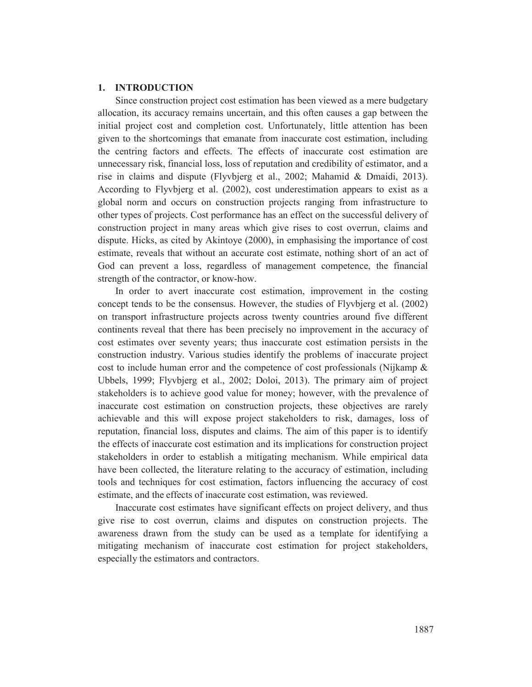# **1. INTRODUCTION**

Since construction project cost estimation has been viewed as a mere budgetary allocation, its accuracy remains uncertain, and this often causes a gap between the initial project cost and completion cost. Unfortunately, little attention has been given to the shortcomings that emanate from inaccurate cost estimation, including the centring factors and effects. The effects of inaccurate cost estimation are unnecessary risk, financial loss, loss of reputation and credibility of estimator, and a rise in claims and dispute (Flyvbjerg et al., 2002; Mahamid & Dmaidi, 2013). According to Flyvbjerg et al. (2002), cost underestimation appears to exist as a global norm and occurs on construction projects ranging from infrastructure to other types of projects. Cost performance has an effect on the successful delivery of construction project in many areas which give rises to cost overrun, claims and dispute. Hicks, as cited by Akintoye (2000), in emphasising the importance of cost estimate, reveals that without an accurate cost estimate, nothing short of an act of God can prevent a loss, regardless of management competence, the financial strength of the contractor, or know-how.

In order to avert inaccurate cost estimation, improvement in the costing concept tends to be the consensus. However, the studies of Flyvbjerg et al. (2002) on transport infrastructure projects across twenty countries around five different continents reveal that there has been precisely no improvement in the accuracy of cost estimates over seventy years; thus inaccurate cost estimation persists in the construction industry. Various studies identify the problems of inaccurate project cost to include human error and the competence of cost professionals (Nijkamp & Ubbels, 1999; Flyvbjerg et al., 2002; Doloi, 2013). The primary aim of project stakeholders is to achieve good value for money; however, with the prevalence of inaccurate cost estimation on construction projects, these objectives are rarely achievable and this will expose project stakeholders to risk, damages, loss of reputation, financial loss, disputes and claims. The aim of this paper is to identify the effects of inaccurate cost estimation and its implications for construction project stakeholders in order to establish a mitigating mechanism. While empirical data have been collected, the literature relating to the accuracy of estimation, including tools and techniques for cost estimation, factors influencing the accuracy of cost estimate, and the effects of inaccurate cost estimation, was reviewed.

Inaccurate cost estimates have significant effects on project delivery, and thus give rise to cost overrun, claims and disputes on construction projects. The awareness drawn from the study can be used as a template for identifying a mitigating mechanism of inaccurate cost estimation for project stakeholders, especially the estimators and contractors.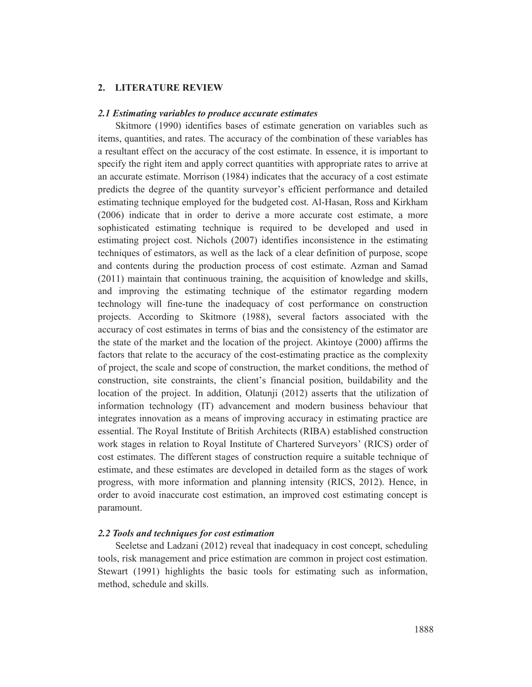### **2. LITERATURE REVIEW**

### *2.1 Estimating variables to produce accurate estimates*

Skitmore (1990) identifies bases of estimate generation on variables such as items, quantities, and rates. The accuracy of the combination of these variables has a resultant effect on the accuracy of the cost estimate. In essence, it is important to specify the right item and apply correct quantities with appropriate rates to arrive at an accurate estimate. Morrison (1984) indicates that the accuracy of a cost estimate predicts the degree of the quantity surveyor's efficient performance and detailed estimating technique employed for the budgeted cost. Al-Hasan, Ross and Kirkham (2006) indicate that in order to derive a more accurate cost estimate, a more sophisticated estimating technique is required to be developed and used in estimating project cost. Nichols (2007) identifies inconsistence in the estimating techniques of estimators, as well as the lack of a clear definition of purpose, scope and contents during the production process of cost estimate. Azman and Samad (2011) maintain that continuous training, the acquisition of knowledge and skills, and improving the estimating technique of the estimator regarding modern technology will fine-tune the inadequacy of cost performance on construction projects. According to Skitmore (1988), several factors associated with the accuracy of cost estimates in terms of bias and the consistency of the estimator are the state of the market and the location of the project. Akintoye (2000) affirms the factors that relate to the accuracy of the cost-estimating practice as the complexity of project, the scale and scope of construction, the market conditions, the method of construction, site constraints, the client's financial position, buildability and the location of the project. In addition, Olatunji (2012) asserts that the utilization of information technology (IT) advancement and modern business behaviour that integrates innovation as a means of improving accuracy in estimating practice are essential. The Royal Institute of British Architects (RIBA) established construction work stages in relation to Royal Institute of Chartered Surveyors' (RICS) order of cost estimates. The different stages of construction require a suitable technique of estimate, and these estimates are developed in detailed form as the stages of work progress, with more information and planning intensity (RICS, 2012). Hence, in order to avoid inaccurate cost estimation, an improved cost estimating concept is paramount.

### *2.2 Tools and techniques for cost estimation*

Seeletse and Ladzani (2012) reveal that inadequacy in cost concept, scheduling tools, risk management and price estimation are common in project cost estimation. Stewart (1991) highlights the basic tools for estimating such as information, method, schedule and skills.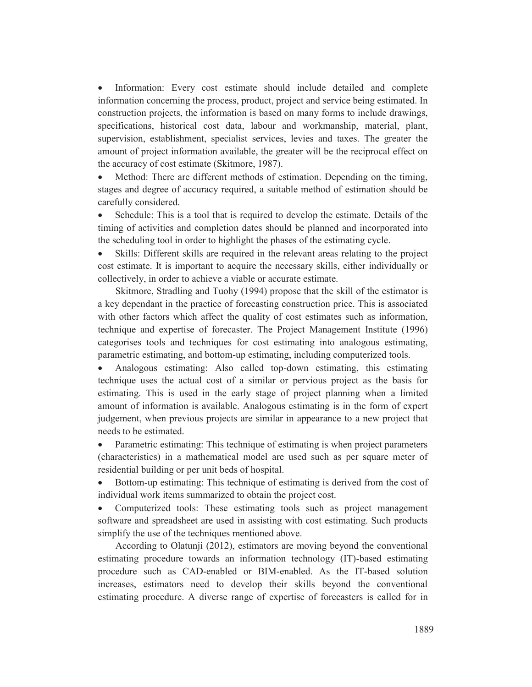Information: Every cost estimate should include detailed and complete information concerning the process, product, project and service being estimated. In construction projects, the information is based on many forms to include drawings, specifications, historical cost data, labour and workmanship, material, plant, supervision, establishment, specialist services, levies and taxes. The greater the amount of project information available, the greater will be the reciprocal effect on the accuracy of cost estimate (Skitmore, 1987).

Method: There are different methods of estimation. Depending on the timing, stages and degree of accuracy required, a suitable method of estimation should be carefully considered.

Schedule: This is a tool that is required to develop the estimate. Details of the timing of activities and completion dates should be planned and incorporated into the scheduling tool in order to highlight the phases of the estimating cycle.

• Skills: Different skills are required in the relevant areas relating to the project cost estimate. It is important to acquire the necessary skills, either individually or collectively, in order to achieve a viable or accurate estimate.

Skitmore, Stradling and Tuohy (1994) propose that the skill of the estimator is a key dependant in the practice of forecasting construction price. This is associated with other factors which affect the quality of cost estimates such as information, technique and expertise of forecaster. The Project Management Institute (1996) categorises tools and techniques for cost estimating into analogous estimating, parametric estimating, and bottom-up estimating, including computerized tools.

x Analogous estimating: Also called top-down estimating, this estimating technique uses the actual cost of a similar or pervious project as the basis for estimating. This is used in the early stage of project planning when a limited amount of information is available. Analogous estimating is in the form of expert judgement, when previous projects are similar in appearance to a new project that needs to be estimated.

• Parametric estimating: This technique of estimating is when project parameters (characteristics) in a mathematical model are used such as per square meter of residential building or per unit beds of hospital.

• Bottom-up estimating: This technique of estimating is derived from the cost of individual work items summarized to obtain the project cost.

Computerized tools: These estimating tools such as project management software and spreadsheet are used in assisting with cost estimating. Such products simplify the use of the techniques mentioned above.

According to Olatunji (2012), estimators are moving beyond the conventional estimating procedure towards an information technology (IT)-based estimating procedure such as CAD-enabled or BIM-enabled. As the IT-based solution increases, estimators need to develop their skills beyond the conventional estimating procedure. A diverse range of expertise of forecasters is called for in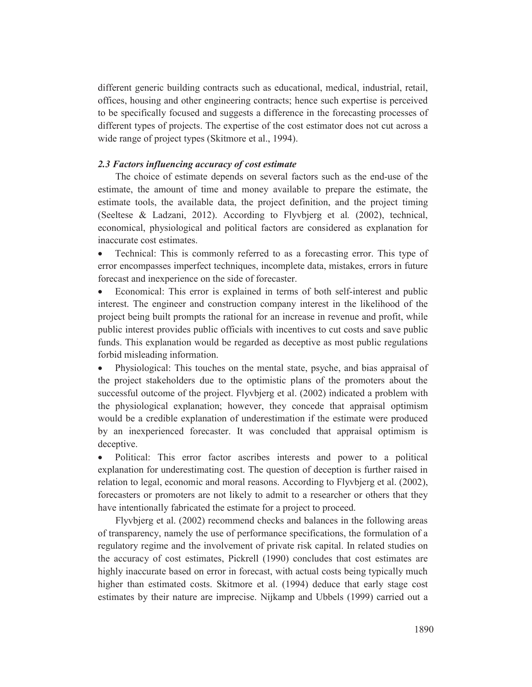different generic building contracts such as educational, medical, industrial, retail, offices, housing and other engineering contracts; hence such expertise is perceived to be specifically focused and suggests a difference in the forecasting processes of different types of projects. The expertise of the cost estimator does not cut across a wide range of project types (Skitmore et al., 1994).

# *2.3 Factors influencing accuracy of cost estimate*

The choice of estimate depends on several factors such as the end-use of the estimate, the amount of time and money available to prepare the estimate, the estimate tools, the available data, the project definition, and the project timing (Seeltese & Ladzani, 2012). According to Flyvbjerg et al*.* (2002), technical, economical, physiological and political factors are considered as explanation for inaccurate cost estimates.

• Technical: This is commonly referred to as a forecasting error. This type of error encompasses imperfect techniques, incomplete data, mistakes, errors in future forecast and inexperience on the side of forecaster.

• Economical: This error is explained in terms of both self-interest and public interest. The engineer and construction company interest in the likelihood of the project being built prompts the rational for an increase in revenue and profit, while public interest provides public officials with incentives to cut costs and save public funds. This explanation would be regarded as deceptive as most public regulations forbid misleading information.

Physiological: This touches on the mental state, psyche, and bias appraisal of the project stakeholders due to the optimistic plans of the promoters about the successful outcome of the project. Flyvbjerg et al. (2002) indicated a problem with the physiological explanation; however, they concede that appraisal optimism would be a credible explanation of underestimation if the estimate were produced by an inexperienced forecaster. It was concluded that appraisal optimism is deceptive.

Political: This error factor ascribes interests and power to a political explanation for underestimating cost. The question of deception is further raised in relation to legal, economic and moral reasons. According to Flyvbjerg et al. (2002), forecasters or promoters are not likely to admit to a researcher or others that they have intentionally fabricated the estimate for a project to proceed.

Flyvbjerg et al. (2002) recommend checks and balances in the following areas of transparency, namely the use of performance specifications, the formulation of a regulatory regime and the involvement of private risk capital. In related studies on the accuracy of cost estimates, Pickrell (1990) concludes that cost estimates are highly inaccurate based on error in forecast, with actual costs being typically much higher than estimated costs. Skitmore et al. (1994) deduce that early stage cost estimates by their nature are imprecise. Nijkamp and Ubbels (1999) carried out a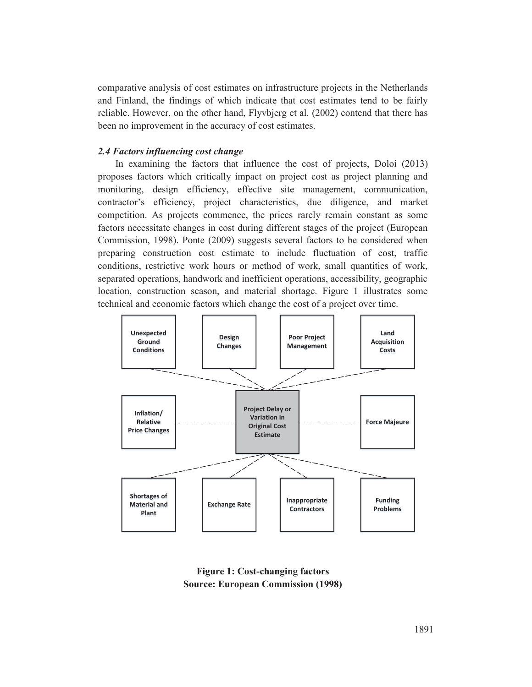comparative analysis of cost estimates on infrastructure projects in the Netherlands and Finland, the findings of which indicate that cost estimates tend to be fairly reliable. However, on the other hand, Flyvbjerg et al*.* (2002) contend that there has been no improvement in the accuracy of cost estimates.

# *2.4 Factors influencing cost change*

In examining the factors that influence the cost of projects, Doloi (2013) proposes factors which critically impact on project cost as project planning and monitoring, design efficiency, effective site management, communication, contractor's efficiency, project characteristics, due diligence, and market competition. As projects commence, the prices rarely remain constant as some factors necessitate changes in cost during different stages of the project (European Commission, 1998). Ponte (2009) suggests several factors to be considered when preparing construction cost estimate to include fluctuation of cost, traffic conditions, restrictive work hours or method of work, small quantities of work, separated operations, handwork and inefficient operations, accessibility, geographic location, construction season, and material shortage. Figure 1 illustrates some technical and economic factors which change the cost of a project over time.



**Figure 1: Cost-changing factors Source: European Commission (1998)**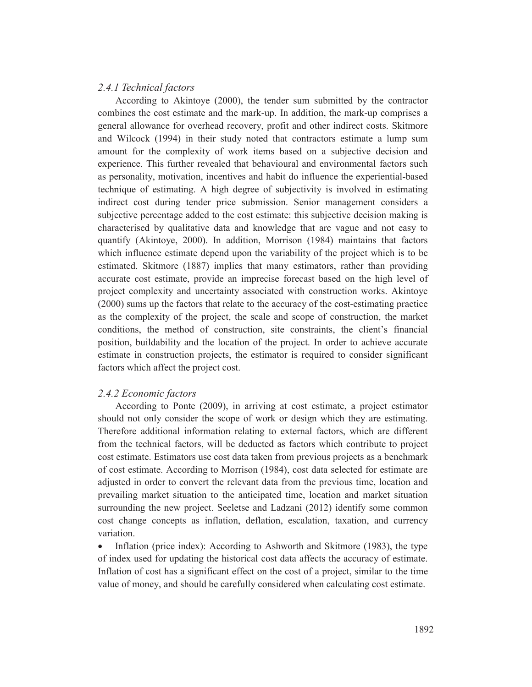# *2.4.1 Technical factors*

According to Akintoye (2000), the tender sum submitted by the contractor combines the cost estimate and the mark-up. In addition, the mark-up comprises a general allowance for overhead recovery, profit and other indirect costs. Skitmore and Wilcock (1994) in their study noted that contractors estimate a lump sum amount for the complexity of work items based on a subjective decision and experience. This further revealed that behavioural and environmental factors such as personality, motivation, incentives and habit do influence the experiential-based technique of estimating. A high degree of subjectivity is involved in estimating indirect cost during tender price submission. Senior management considers a subjective percentage added to the cost estimate: this subjective decision making is characterised by qualitative data and knowledge that are vague and not easy to quantify (Akintoye, 2000). In addition, Morrison (1984) maintains that factors which influence estimate depend upon the variability of the project which is to be estimated. Skitmore (1887) implies that many estimators, rather than providing accurate cost estimate, provide an imprecise forecast based on the high level of project complexity and uncertainty associated with construction works. Akintoye (2000) sums up the factors that relate to the accuracy of the cost-estimating practice as the complexity of the project, the scale and scope of construction, the market conditions, the method of construction, site constraints, the client's financial position, buildability and the location of the project. In order to achieve accurate estimate in construction projects, the estimator is required to consider significant factors which affect the project cost.

# *2.4.2 Economic factors*

According to Ponte (2009), in arriving at cost estimate, a project estimator should not only consider the scope of work or design which they are estimating. Therefore additional information relating to external factors, which are different from the technical factors, will be deducted as factors which contribute to project cost estimate. Estimators use cost data taken from previous projects as a benchmark of cost estimate. According to Morrison (1984), cost data selected for estimate are adjusted in order to convert the relevant data from the previous time, location and prevailing market situation to the anticipated time, location and market situation surrounding the new project. Seeletse and Ladzani (2012) identify some common cost change concepts as inflation, deflation, escalation, taxation, and currency variation.

• Inflation (price index): According to Ashworth and Skitmore (1983), the type of index used for updating the historical cost data affects the accuracy of estimate. Inflation of cost has a significant effect on the cost of a project, similar to the time value of money, and should be carefully considered when calculating cost estimate.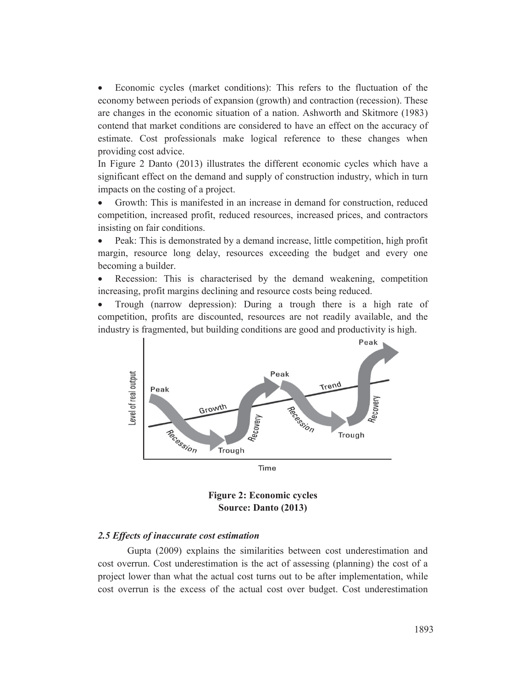Economic cycles (market conditions): This refers to the fluctuation of the economy between periods of expansion (growth) and contraction (recession). These are changes in the economic situation of a nation. Ashworth and Skitmore (1983) contend that market conditions are considered to have an effect on the accuracy of estimate. Cost professionals make logical reference to these changes when providing cost advice.

In Figure 2 Danto (2013) illustrates the different economic cycles which have a significant effect on the demand and supply of construction industry, which in turn impacts on the costing of a project.

x Growth: This is manifested in an increase in demand for construction, reduced competition, increased profit, reduced resources, increased prices, and contractors insisting on fair conditions.

Peak: This is demonstrated by a demand increase, little competition, high profit margin, resource long delay, resources exceeding the budget and every one becoming a builder.

x Recession: This is characterised by the demand weakening, competition increasing, profit margins declining and resource costs being reduced.

x Trough (narrow depression): During a trough there is a high rate of competition, profits are discounted, resources are not readily available, and the industry is fragmented, but building conditions are good and productivity is high.





# *2.5 Effects of inaccurate cost estimation*

Gupta (2009) explains the similarities between cost underestimation and cost overrun. Cost underestimation is the act of assessing (planning) the cost of a project lower than what the actual cost turns out to be after implementation, while cost overrun is the excess of the actual cost over budget. Cost underestimation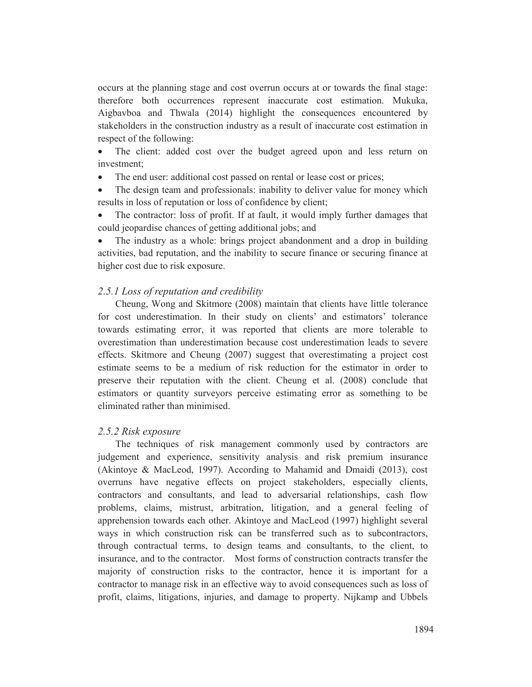occurs at the planning stage and cost overrun occurs at or towards the final stage: therefore both occurrences represent inaccurate cost estimation. Mukuka, Aigbavboa and Thwala (2014) highlight the consequences encountered by stakeholders in the construction industry as a result of inaccurate cost estimation in respect of the following:

• The client: added cost over the budget agreed upon and less return on investment;

The end user: additional cost passed on rental or lease cost or prices;

• The design team and professionals: inability to deliver value for money which results in loss of reputation or loss of confidence by client;

The contractor: loss of profit. If at fault, it would imply further damages that could jeopardise chances of getting additional jobs; and

The industry as a whole: brings project abandonment and a drop in building activities, bad reputation, and the inability to secure finance or securing finance at higher cost due to risk exposure.

# *2.5.1 Loss of reputation and credibility*

Cheung, Wong and Skitmore (2008) maintain that clients have little tolerance for cost underestimation. In their study on clients' and estimators' tolerance towards estimating error, it was reported that clients are more tolerable to overestimation than underestimation because cost underestimation leads to severe effects. Skitmore and Cheung (2007) suggest that overestimating a project cost estimate seems to be a medium of risk reduction for the estimator in order to preserve their reputation with the client. Cheung et al. (2008) conclude that estimators or quantity surveyors perceive estimating error as something to be eliminated rather than minimised.

# *2.5.2 Risk exposure*

The techniques of risk management commonly used by contractors are judgement and experience, sensitivity analysis and risk premium insurance (Akintoye & MacLeod, 1997). According to Mahamid and Dmaidi (2013), cost overruns have negative effects on project stakeholders, especially clients, contractors and consultants, and lead to adversarial relationships, cash flow problems, claims, mistrust, arbitration, litigation, and a general feeling of apprehension towards each other. Akintoye and MacLeod (1997) highlight several ways in which construction risk can be transferred such as to subcontractors, through contractual terms, to design teams and consultants, to the client, to insurance, and to the contractor. Most forms of construction contracts transfer the majority of construction risks to the contractor, hence it is important for a contractor to manage risk in an effective way to avoid consequences such as loss of profit, claims, litigations, injuries, and damage to property. Nijkamp and Ubbels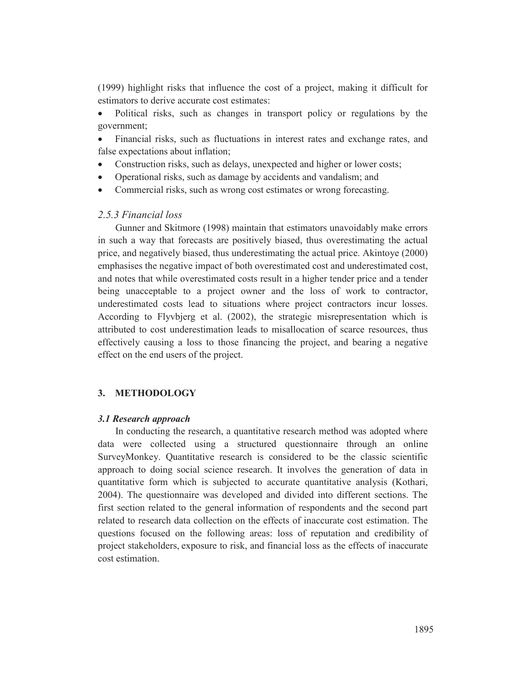(1999) highlight risks that influence the cost of a project, making it difficult for estimators to derive accurate cost estimates:

Political risks, such as changes in transport policy or regulations by the government;

• Financial risks, such as fluctuations in interest rates and exchange rates, and false expectations about inflation;

- Construction risks, such as delays, unexpected and higher or lower costs;
- Operational risks, such as damage by accidents and vandalism; and
- Commercial risks, such as wrong cost estimates or wrong forecasting.

# *2.5.3 Financial loss*

Gunner and Skitmore (1998) maintain that estimators unavoidably make errors in such a way that forecasts are positively biased, thus overestimating the actual price, and negatively biased, thus underestimating the actual price. Akintoye (2000) emphasises the negative impact of both overestimated cost and underestimated cost, and notes that while overestimated costs result in a higher tender price and a tender being unacceptable to a project owner and the loss of work to contractor, underestimated costs lead to situations where project contractors incur losses. According to Flyvbjerg et al. (2002), the strategic misrepresentation which is attributed to cost underestimation leads to misallocation of scarce resources, thus effectively causing a loss to those financing the project, and bearing a negative effect on the end users of the project.

# **3. METHODOLOGY**

#### *3.1 Research approach*

In conducting the research, a quantitative research method was adopted where data were collected using a structured questionnaire through an online SurveyMonkey. Quantitative research is considered to be the classic scientific approach to doing social science research. It involves the generation of data in quantitative form which is subjected to accurate quantitative analysis (Kothari, 2004). The questionnaire was developed and divided into different sections. The first section related to the general information of respondents and the second part related to research data collection on the effects of inaccurate cost estimation. The questions focused on the following areas: loss of reputation and credibility of project stakeholders, exposure to risk, and financial loss as the effects of inaccurate cost estimation.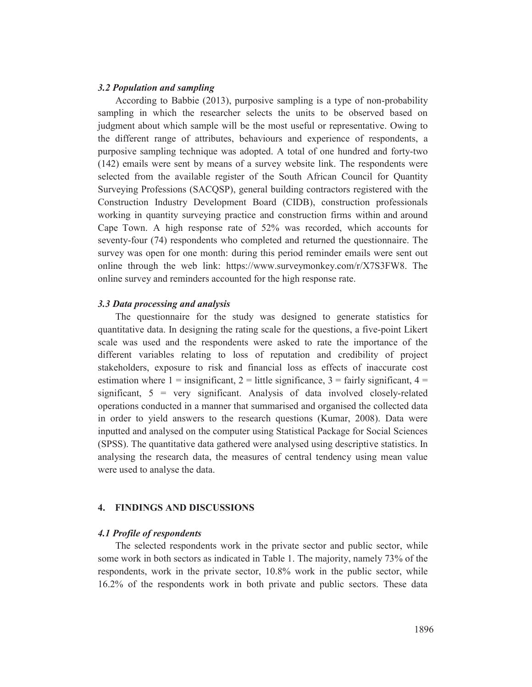# *3.2 Population and sampling*

According to Babbie (2013), purposive sampling is a type of non-probability sampling in which the researcher selects the units to be observed based on judgment about which sample will be the most useful or representative. Owing to the different range of attributes, behaviours and experience of respondents, a purposive sampling technique was adopted. A total of one hundred and forty-two (142) emails were sent by means of a survey website link. The respondents were selected from the available register of the South African Council for Quantity Surveying Professions (SACQSP), general building contractors registered with the Construction Industry Development Board (CIDB), construction professionals working in quantity surveying practice and construction firms within and around Cape Town. A high response rate of 52% was recorded, which accounts for seventy-four (74) respondents who completed and returned the questionnaire. The survey was open for one month: during this period reminder emails were sent out online through the web link: https://www.surveymonkey.com/r/X7S3FW8. The online survey and reminders accounted for the high response rate.

### *3.3 Data processing and analysis*

The questionnaire for the study was designed to generate statistics for quantitative data. In designing the rating scale for the questions, a five-point Likert scale was used and the respondents were asked to rate the importance of the different variables relating to loss of reputation and credibility of project stakeholders, exposure to risk and financial loss as effects of inaccurate cost estimation where  $1 =$  insignificant,  $2 =$  little significance,  $3 =$  fairly significant,  $4 =$ significant,  $5 = \text{very significant}$ . Analysis of data involved closely-related operations conducted in a manner that summarised and organised the collected data in order to yield answers to the research questions (Kumar, 2008). Data were inputted and analysed on the computer using Statistical Package for Social Sciences (SPSS). The quantitative data gathered were analysed using descriptive statistics. In analysing the research data, the measures of central tendency using mean value were used to analyse the data.

# **4. FINDINGS AND DISCUSSIONS**

### *4.1 Profile of respondents*

The selected respondents work in the private sector and public sector, while some work in both sectors as indicated in Table 1. The majority, namely 73% of the respondents, work in the private sector, 10.8% work in the public sector, while 16.2% of the respondents work in both private and public sectors. These data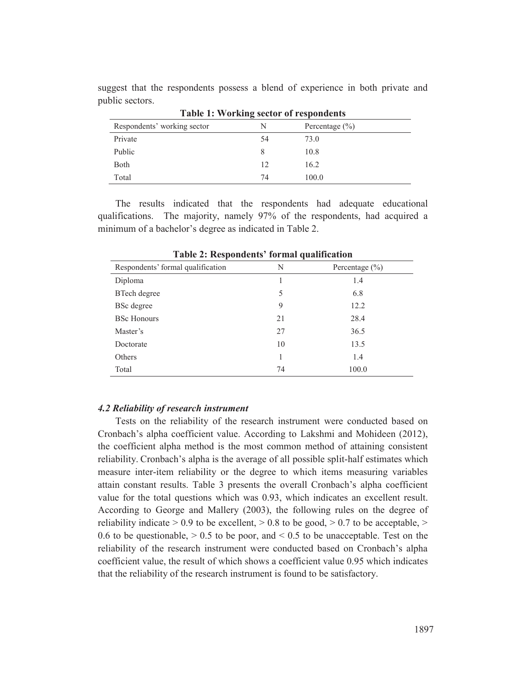| <b>Table 1: Working sector of respondents</b> |    |                    |  |
|-----------------------------------------------|----|--------------------|--|
| Respondents' working sector                   | N  | Percentage $(\% )$ |  |
| Private                                       | 54 | 73.0               |  |
| Public                                        | 8  | 10.8               |  |
| Both                                          | 12 | 16.2               |  |
| Total                                         | 74 | 100.0              |  |

suggest that the respondents possess a blend of experience in both private and public sectors.

The results indicated that the respondents had adequate educational qualifications. The majority, namely 97% of the respondents, had acquired a minimum of a bachelor's degree as indicated in Table 2.

| rapic 2. <i>Kespondents</i> formal quantication |    |                    |  |  |
|-------------------------------------------------|----|--------------------|--|--|
| Respondents' formal qualification               | N  | Percentage $(\% )$ |  |  |
| Diploma                                         |    | 1.4                |  |  |
| BTech degree                                    | 5  | 6.8                |  |  |
| BSc degree                                      | 9  | 12.2               |  |  |
| <b>BSc Honours</b>                              | 21 | 28.4               |  |  |
| Master's                                        | 27 | 36.5               |  |  |
| Doctorate                                       | 10 | 13.5               |  |  |
| Others                                          |    | 1.4                |  |  |
| Total                                           | 74 | 100.0              |  |  |

**Table 2: Respondents' formal qualification** 

# *4.2 Reliability of research instrument*

Tests on the reliability of the research instrument were conducted based on Cronbach's alpha coefficient value. According to Lakshmi and Mohideen (2012), the coefficient alpha method is the most common method of attaining consistent reliability. Cronbach's alpha is the average of all possible split-half estimates which measure inter-item reliability or the degree to which items measuring variables attain constant results. Table 3 presents the overall Cronbach's alpha coefficient value for the total questions which was 0.93, which indicates an excellent result. According to George and Mallery (2003), the following rules on the degree of reliability indicate  $> 0.9$  to be excellent,  $> 0.8$  to be good,  $> 0.7$  to be acceptable,  $>$ 0.6 to be questionable,  $> 0.5$  to be poor, and  $< 0.5$  to be unacceptable. Test on the reliability of the research instrument were conducted based on Cronbach's alpha coefficient value, the result of which shows a coefficient value 0.95 which indicates that the reliability of the research instrument is found to be satisfactory.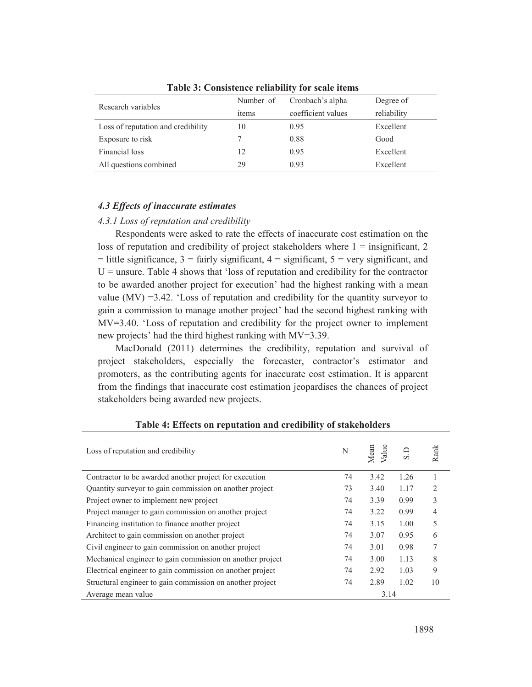| Research variables                 | Number of | Cronbach's alpha   | Degree of   |
|------------------------------------|-----------|--------------------|-------------|
|                                    | items     | coefficient values | reliability |
| Loss of reputation and credibility | 10        | 0.95               | Excellent   |
| Exposure to risk                   |           | 0.88               | Good        |
| Financial loss                     | 12        | 0.95               | Excellent   |
| All questions combined             | 29        | 0.93               | Excellent   |

**Table 3: Consistence reliability for scale items** 

# *4.3 Effects of inaccurate estimates*

#### *4.3.1 Loss of reputation and credibility*

Respondents were asked to rate the effects of inaccurate cost estimation on the loss of reputation and credibility of project stakeholders where  $1 =$  insignificant, 2  $=$  little significance,  $3 =$  fairly significant,  $4 =$  significant,  $5 =$  very significant, and  $U =$  unsure. Table 4 shows that 'loss of reputation and credibility for the contractor to be awarded another project for execution' had the highest ranking with a mean value  $(MV) = 3.42$ . 'Loss of reputation and credibility for the quantity surveyor to gain a commission to manage another project' had the second highest ranking with MV=3.40. 'Loss of reputation and credibility for the project owner to implement new projects' had the third highest ranking with MV=3.39.

MacDonald (2011) determines the credibility, reputation and survival of project stakeholders, especially the forecaster, contractor's estimator and promoters, as the contributing agents for inaccurate cost estimation. It is apparent from the findings that inaccurate cost estimation jeopardises the chances of project stakeholders being awarded new projects.

| Loss of reputation and credibility                        | N    | /alue<br>Mean |      | Rank           |
|-----------------------------------------------------------|------|---------------|------|----------------|
| Contractor to be awarded another project for execution    | 74   | 3.42          | 1.26 |                |
| Quantity surveyor to gain commission on another project   | 73   | 3.40          | 1.17 | $\mathfrak{D}$ |
| Project owner to implement new project                    | 74   | 3.39          | 0.99 | 3              |
| Project manager to gain commission on another project     | 74   | 3.22          | 0.99 | 4              |
| Financing institution to finance another project          | 74   | 3.15          | 1.00 | 5              |
| Architect to gain commission on another project           | 74   | 3.07          | 0.95 | 6              |
| Civil engineer to gain commission on another project      | 74   | 3.01          | 0.98 |                |
| Mechanical engineer to gain commission on another project | 74   | 3.00          | 1.13 | 8              |
| Electrical engineer to gain commission on another project | 74   | 2.92          | 1.03 | 9              |
| Structural engineer to gain commission on another project | 74   | 2.89          | 1.02 | 10             |
| Average mean value                                        | 3.14 |               |      |                |

# **Table 4: Effects on reputation and credibility of stakeholders**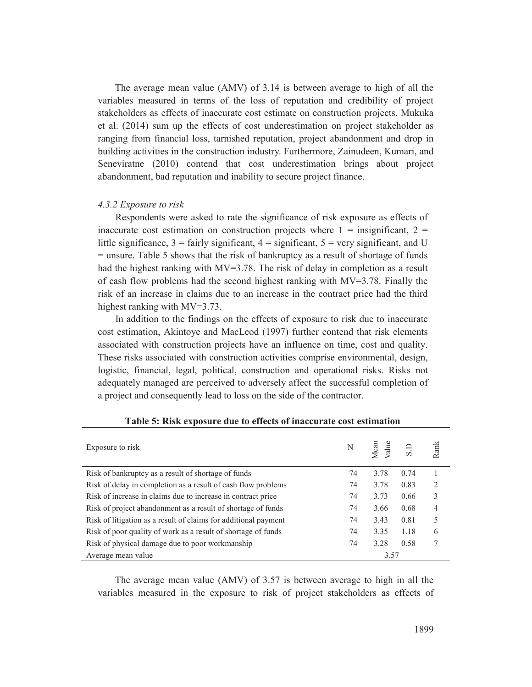The average mean value (AMV) of 3.14 is between average to high of all the variables measured in terms of the loss of reputation and credibility of project stakeholders as effects of inaccurate cost estimate on construction projects. Mukuka et al. (2014) sum up the effects of cost underestimation on project stakeholder as ranging from financial loss, tarnished reputation, project abandonment and drop in building activities in the construction industry. Furthermore, Zainudeen, Kumari, and Seneviratne (2010) contend that cost underestimation brings about project abandonment, bad reputation and inability to secure project finance.

### *4.3.2 Exposure to risk*

Respondents were asked to rate the significance of risk exposure as effects of inaccurate cost estimation on construction projects where  $1 =$  insignificant,  $2 =$ little significance,  $3 = \text{fairly significant}$ ,  $4 = \text{significant}$ ,  $5 = \text{very significant}$ , and U  $=$  unsure. Table 5 shows that the risk of bankruptcy as a result of shortage of funds had the highest ranking with MV=3.78. The risk of delay in completion as a result of cash flow problems had the second highest ranking with MV=3.78. Finally the risk of an increase in claims due to an increase in the contract price had the third highest ranking with MV=3.73.

In addition to the findings on the effects of exposure to risk due to inaccurate cost estimation, Akintoye and MacLeod (1997) further contend that risk elements associated with construction projects have an influence on time, cost and quality. These risks associated with construction activities comprise environmental, design, logistic, financial, legal, political, construction and operational risks. Risks not adequately managed are perceived to adversely affect the successful completion of a project and consequently lead to loss on the side of the contractor.

| Exposure to risk                                                | N  | Mean<br>/alue | S.D  | Rank |
|-----------------------------------------------------------------|----|---------------|------|------|
| Risk of bankruptcy as a result of shortage of funds             | 74 | 3.78          | 0.74 |      |
| Risk of delay in completion as a result of cash flow problems   | 74 | 3.78          | 0.83 | 2    |
| Risk of increase in claims due to increase in contract price    | 74 | 3.73          | 0.66 | 3    |
| Risk of project abandonment as a result of shortage of funds    | 74 | 3.66          | 0.68 | 4    |
| Risk of litigation as a result of claims for additional payment | 74 | 3.43          | 0.81 | 5    |
| Risk of poor quality of work as a result of shortage of funds   | 74 | 3.35          | 1.18 | 6    |
| Risk of physical damage due to poor workmanship                 | 74 | 3.28          | 0.58 |      |
| Average mean value                                              |    | 3.57          |      |      |

|  |  | Table 5: Risk exposure due to effects of inaccurate cost estimation |
|--|--|---------------------------------------------------------------------|
|  |  |                                                                     |

The average mean value (AMV) of 3.57 is between average to high in all the variables measured in the exposure to risk of project stakeholders as effects of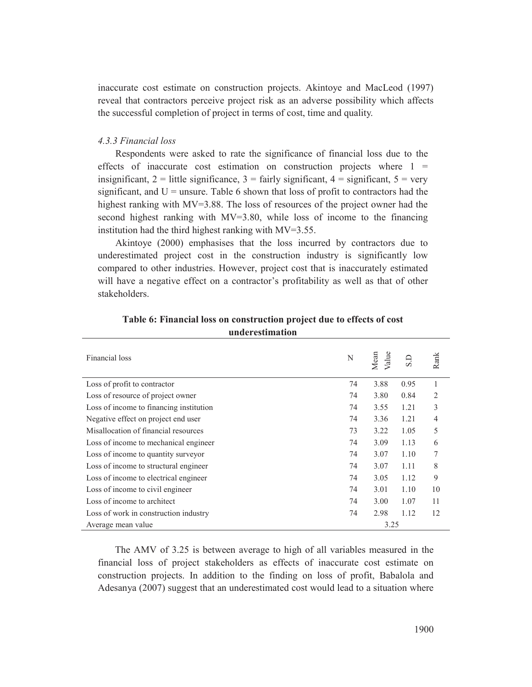inaccurate cost estimate on construction projects. Akintoye and MacLeod (1997) reveal that contractors perceive project risk as an adverse possibility which affects the successful completion of project in terms of cost, time and quality.

## *4.3.3 Financial loss*

Respondents were asked to rate the significance of financial loss due to the effects of inaccurate cost estimation on construction projects where  $1 =$ insignificant,  $2 =$  little significance,  $3 =$  fairly significant,  $4 =$  significant,  $5 =$  very significant, and  $U =$  unsure. Table 6 shown that loss of profit to contractors had the highest ranking with MV=3.88. The loss of resources of the project owner had the second highest ranking with MV=3.80, while loss of income to the financing institution had the third highest ranking with MV=3.55.

Akintoye (2000) emphasises that the loss incurred by contractors due to underestimated project cost in the construction industry is significantly low compared to other industries. However, project cost that is inaccurately estimated will have a negative effect on a contractor's profitability as well as that of other stakeholders.

| Financial loss                          | N  | Value<br>Mean | GS   | Rank |
|-----------------------------------------|----|---------------|------|------|
| Loss of profit to contractor            | 74 | 3.88          | 0.95 | 1    |
| Loss of resource of project owner       | 74 | 3.80          | 0.84 | 2    |
| Loss of income to financing institution | 74 | 3.55          | 1.21 | 3    |
| Negative effect on project end user     | 74 | 3.36          | 1.21 | 4    |
| Misallocation of financial resources    | 73 | 3.22          | 1.05 | 5    |
| Loss of income to mechanical engineer   | 74 | 3.09          | 1.13 | 6    |
| Loss of income to quantity surveyor     | 74 | 3.07          | 1.10 | 7    |
| Loss of income to structural engineer   | 74 | 3.07          | 1.11 | 8    |
| Loss of income to electrical engineer   | 74 | 3.05          | 1.12 | 9    |
| Loss of income to civil engineer        | 74 | 3.01          | 1.10 | 10   |
| Loss of income to architect             | 74 | 3.00          | 1.07 | 11   |
| Loss of work in construction industry   | 74 | 2.98          | 1.12 | 12   |
| Average mean value                      |    | 3.25          |      |      |

**Table 6: Financial loss on construction project due to effects of cost underestimation** 

The AMV of 3.25 is between average to high of all variables measured in the financial loss of project stakeholders as effects of inaccurate cost estimate on construction projects. In addition to the finding on loss of profit, Babalola and Adesanya (2007) suggest that an underestimated cost would lead to a situation where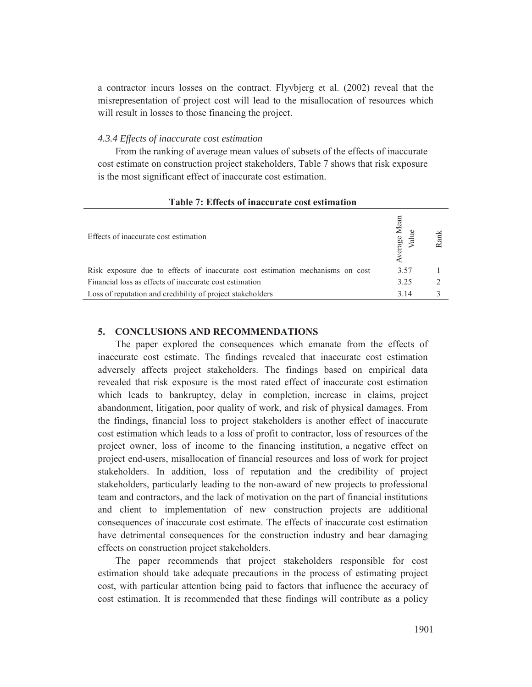a contractor incurs losses on the contract. Flyvbjerg et al. (2002) reveal that the misrepresentation of project cost will lead to the misallocation of resources which will result in losses to those financing the project.

# *4.3.4 Effects of inaccurate cost estimation*

From the ranking of average mean values of subsets of the effects of inaccurate cost estimate on construction project stakeholders, Table 7 shows that risk exposure is the most significant effect of inaccurate cost estimation.

| Effects of inaccurate cost estimation                                         | Mean<br>erage | Rank |
|-------------------------------------------------------------------------------|---------------|------|
| Risk exposure due to effects of inaccurate cost estimation mechanisms on cost | 3.57          |      |
| Financial loss as effects of inaccurate cost estimation                       | 3.25          |      |
| Loss of reputation and credibility of project stakeholders                    | 3.14          |      |

### **Table 7: Effects of inaccurate cost estimation**

## **5. CONCLUSIONS AND RECOMMENDATIONS**

The paper explored the consequences which emanate from the effects of inaccurate cost estimate. The findings revealed that inaccurate cost estimation adversely affects project stakeholders. The findings based on empirical data revealed that risk exposure is the most rated effect of inaccurate cost estimation which leads to bankruptcy, delay in completion, increase in claims, project abandonment, litigation, poor quality of work, and risk of physical damages. From the findings, financial loss to project stakeholders is another effect of inaccurate cost estimation which leads to a loss of profit to contractor, loss of resources of the project owner, loss of income to the financing institution, a negative effect on project end-users, misallocation of financial resources and loss of work for project stakeholders. In addition, loss of reputation and the credibility of project stakeholders, particularly leading to the non-award of new projects to professional team and contractors, and the lack of motivation on the part of financial institutions and client to implementation of new construction projects are additional consequences of inaccurate cost estimate. The effects of inaccurate cost estimation have detrimental consequences for the construction industry and bear damaging effects on construction project stakeholders.

The paper recommends that project stakeholders responsible for cost estimation should take adequate precautions in the process of estimating project cost, with particular attention being paid to factors that influence the accuracy of cost estimation. It is recommended that these findings will contribute as a policy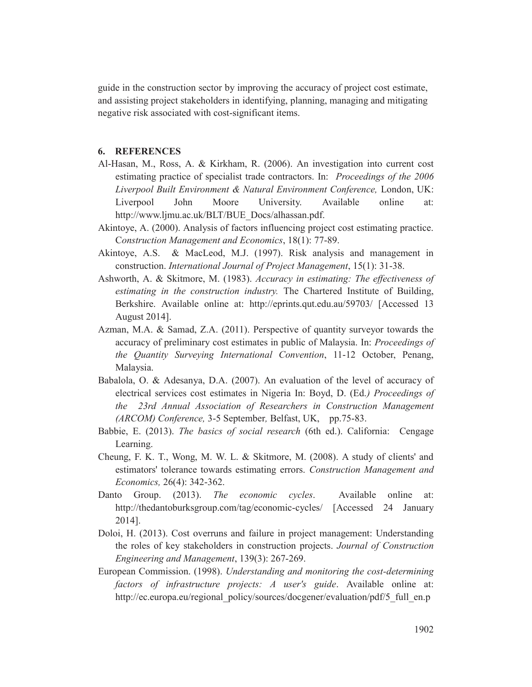guide in the construction sector by improving the accuracy of project cost estimate, and assisting project stakeholders in identifying, planning, managing and mitigating negative risk associated with cost-significant items.

### **6. REFERENCES**

- Al-Hasan, M., Ross, A. & Kirkham, R. (2006). An investigation into current cost estimating practice of specialist trade contractors. In: *Proceedings of the 2006 Liverpool Built Environment & Natural Environment Conference,* London, UK: Liverpool John Moore University. Available online at: http://www.ljmu.ac.uk/BLT/BUE\_Docs/alhassan.pdf.
- Akintoye, A. (2000). Analysis of factors influencing project cost estimating practice. C*onstruction Management and Economics*, 18(1): 77-89.
- Akintoye, A.S. & MacLeod, M.J. (1997). Risk analysis and management in construction. *International Journal of Project Management*, 15(1): 31-38.
- Ashworth, A. & Skitmore, M. (1983). *Accuracy in estimating: The effectiveness of estimating in the construction industry.* The Chartered Institute of Building, Berkshire. Available online at: http://eprints.qut.edu.au/59703/ [Accessed 13 August 2014].
- Azman, M.A. & Samad, Z.A. (2011). Perspective of quantity surveyor towards the accuracy of preliminary cost estimates in public of Malaysia. In: *Proceedings of the Quantity Surveying International Convention*, 11-12 October, Penang, Malaysia.
- Babalola, O. & Adesanya, D.A. (2007). An evaluation of the level of accuracy of electrical services cost estimates in Nigeria In: Boyd, D. (Ed.*) Proceedings of the 23rd Annual Association of Researchers in Construction Management (ARCOM) Conference,* 3-5 September*,* Belfast, UK, pp.75-83.
- Babbie, E. (2013). *The basics of social research* (6th ed.). California: Cengage Learning.
- Cheung, F. K. T., Wong, M. W. L. & Skitmore, M. (2008). A study of clients' and estimators' tolerance towards estimating errors. *Construction Management and Economics,* 26(4): 342-362.
- Danto Group. (2013). *The economic cycles*. Available online at: http://thedantoburksgroup.com/tag/economic-cycles/ [Accessed 24 January 2014].
- Doloi, H. (2013). Cost overruns and failure in project management: Understanding the roles of key stakeholders in construction projects. *Journal of Construction Engineering and Management*, 139(3): 267-269.
- European Commission. (1998). *Understanding and monitoring the cost-determining factors of infrastructure projects: A user's guide*. Available online at: http://ec.europa.eu/regional\_policy/sources/docgener/evaluation/pdf/5\_full\_en.p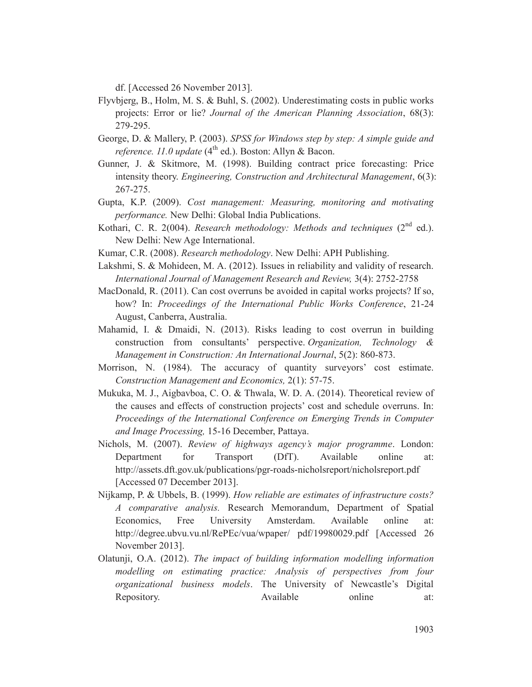df. [Accessed 26 November 2013].

- Flyvbjerg, B., Holm, M. S. & Buhl, S. (2002). Underestimating costs in public works projects: Error or lie? *Journal of the American Planning Association*, 68(3): 279-295.
- George, D. & Mallery, P. (2003). *SPSS for Windows step by step: A simple guide and reference. 11.0 update* (4<sup>th</sup> ed.). Boston: Allyn & Bacon.
- Gunner, J. & Skitmore, M. (1998). Building contract price forecasting: Price intensity theory. *Engineering, Construction and Architectural Management*, 6(3): 267-275.
- Gupta, K.P. (2009). *Cost management: Measuring, monitoring and motivating performance.* New Delhi: Global India Publications.
- Kothari, C. R. 2(004). *Research methodology: Methods and techniques* (2<sup>nd</sup> ed.). New Delhi: New Age International.
- Kumar, C.R. (2008). *Research methodology*. New Delhi: APH Publishing.
- Lakshmi, S. & Mohideen, M. A. (2012). Issues in reliability and validity of research. *International Journal of Management Research and Review,* 3(4): 2752-2758
- MacDonald, R. (2011). Can cost overruns be avoided in capital works projects? If so, how? In: *Proceedings of the International Public Works Conference*, 21-24 August, Canberra, Australia.
- Mahamid, I. & Dmaidi, N. (2013). Risks leading to cost overrun in building construction from consultants' perspective. *Organization, Technology & Management in Construction: An International Journal*, 5(2): 860-873.
- Morrison, N. (1984). The accuracy of quantity surveyors' cost estimate. *Construction Management and Economics,* 2(1): 57-75.
- Mukuka, M. J., Aigbavboa, C. O. & Thwala, W. D. A. (2014). Theoretical review of the causes and effects of construction projects' cost and schedule overruns. In: *Proceedings of the International Conference on Emerging Trends in Computer and Image Processing,* 15-16 December, Pattaya.
- Nichols, M. (2007). *Review of highways agency's major programme*. London: Department for Transport (DfT). Available online at: http://assets.dft.gov.uk/publications/pgr-roads-nicholsreport/nicholsreport.pdf [Accessed 07 December 2013].
- Nijkamp, P. & Ubbels, B. (1999). *How reliable are estimates of infrastructure costs? A comparative analysis.* Research Memorandum, Department of Spatial Economics, Free University Amsterdam. Available online at: http://degree.ubvu.vu.nl/RePEc/vua/wpaper/ pdf/19980029.pdf [Accessed 26 November 2013].
- Olatunji, O.A. (2012). *The impact of building information modelling information modelling on estimating practice: Analysis of perspectives from four organizational business models*. The University of Newcastle's Digital Repository. Available online at: